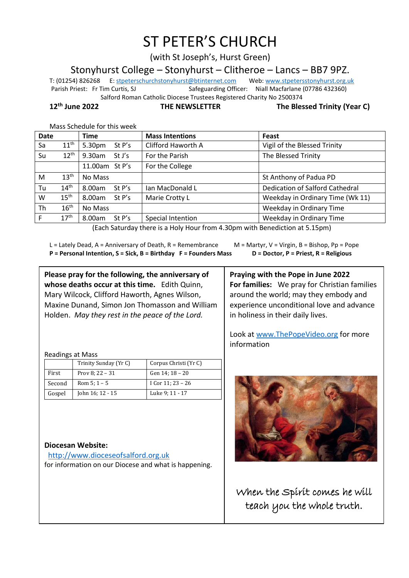# ST PETER'S CHURCH

(with St Joseph's, Hurst Green)

Stonyhurst College – Stonyhurst – Clitheroe – Lancs – BB7 9PZ.

T: (01254) 826268 E[: stpeterschurchstonyhurst@btinternet.com](mailto:stpeterschurchstonyhurst@btinternet.com) Web[: www.stpetersstonyhurst.org.uk](http://www.stpetersstonyhurst.org.uk/) Parish Priest: Fr Tim Curtis, SJ Safeguarding Officer: Niall Macfarlane (07786 432360) Salford Roman Catholic Diocese Trustees Registered Charity No 2500374

**12th June 2022 THE NEWSLETTER The Blessed Trinity (Year C)**

Mass Schedule for this week

| <b>Date</b> |                                                                                                        | <b>Time</b>         | <b>Mass Intentions</b> | Feast                            |  |
|-------------|--------------------------------------------------------------------------------------------------------|---------------------|------------------------|----------------------------------|--|
| Sa          | $11^{\text{th}}$                                                                                       | St P's<br>5.30pm    | Clifford Haworth A     | Vigil of the Blessed Trinity     |  |
| Su          | $12^{\text{th}}$                                                                                       | $9.30$ am<br>St J's | For the Parish         | The Blessed Trinity              |  |
|             |                                                                                                        | 11.00am St P's      | For the College        |                                  |  |
| M           | 13 <sup>th</sup>                                                                                       | No Mass             |                        | St Anthony of Padua PD           |  |
| Tu          | 14 <sup>th</sup>                                                                                       | 8.00am<br>St P's    | Ian MacDonald L        | Dedication of Salford Cathedral  |  |
| W           | $15^{\text{th}}$                                                                                       | 8.00am<br>St $P's$  | Marie Crotty L         | Weekday in Ordinary Time (Wk 11) |  |
| Th          | 16 <sup>th</sup>                                                                                       | No Mass             |                        | Weekday in Ordinary Time         |  |
| F           | 17 <sup>th</sup>                                                                                       | 8.00am<br>St P's    | Special Intention      | Weekday in Ordinary Time         |  |
|             | $I$ e al estado de alguna estadounidense e forma e o alguna en la estadounidense de alguna e $\lambda$ |                     |                        |                                  |  |

(Each Saturday there is a Holy Hour from 4.30pm with Benediction at 5.15pm)

L = Lately Dead, A = Anniversary of Death, R = Remembrance  $M =$  M = Martyr, V = Virgin, B = Bishop, Pp = Pope **P = Personal Intention, S = Sick, B = Birthday F = Founders Mass D = Doctor, P = Priest, R = Religious**

**For families:** We pray for Christian families around the world; may they embody and experience unconditional love and advance

Look at www.ThePopeVideo.org for more

**Praying with the Pope in June 2022**

in holiness in their daily lives.

information

**Please pray for the following, the anniversary of whose deaths occur at this time.** Edith Quinn, Mary Wilcock, Clifford Haworth, Agnes Wilson, Maxine Dunand, Simon Jon Thomasson and William Holden. *May they rest in the peace of the Lord.*

Readings at Mass

|        | Trinity Sunday (Yr C) | Corpus Christi (Yr C) |
|--------|-----------------------|-----------------------|
| First  | Prov 8: $22 - 31$     | Gen 14; 18 - 20       |
| Second | Rom $5:1 - 5$         | I Cor 11; 23 - 26     |
| Gospel | John 16; 12 - 15      | Luke 9; 11 - 17       |

**Diocesan Website:**

http://www.dioceseofsalford.org.uk for information on our Diocese and what is happening.



When the Spirit comes he will teach you the whole truth.